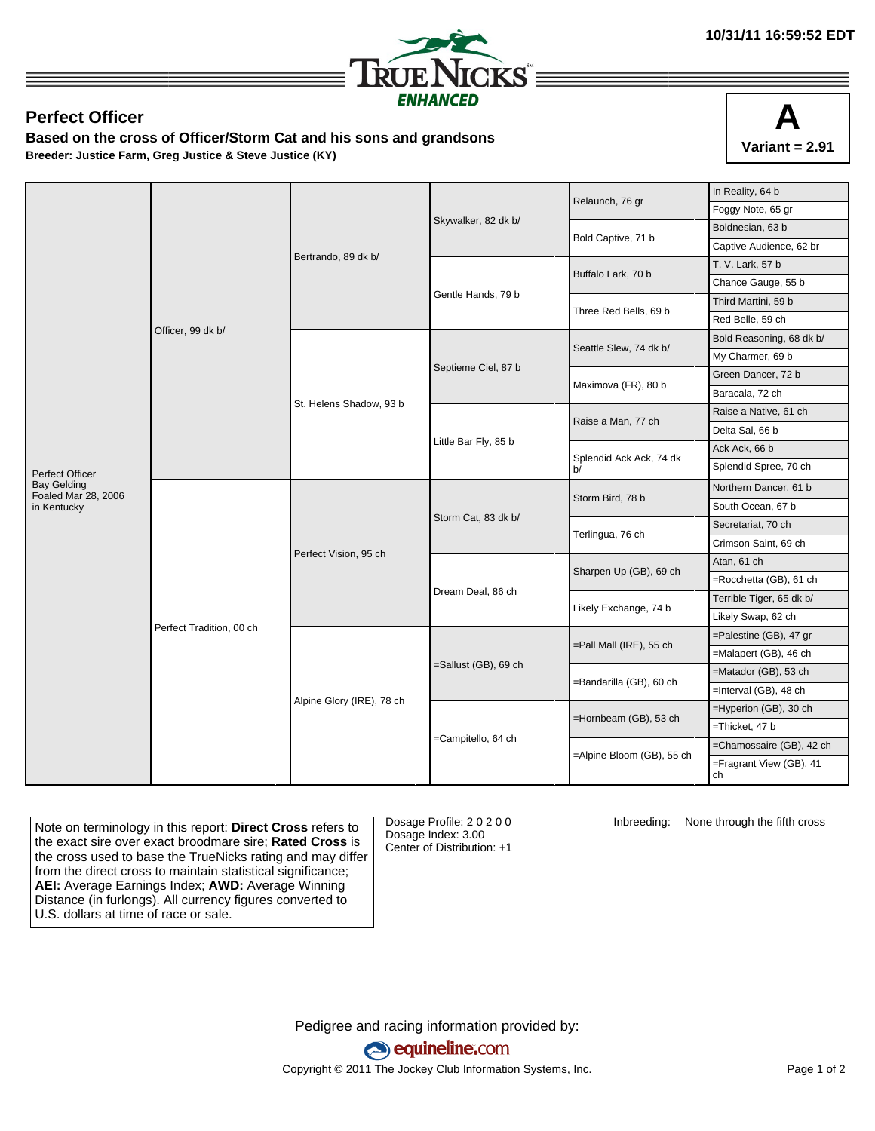

## **Perfect Officer**

**Based on the cross of Officer/Storm Cat and his sons and grandsons Breeder: Justice Farm, Greg Justice & Steve Justice (KY)**



|                                           | Officer, 99 dk b/        | Bertrando, 89 dk b/       |                      | Relaunch, 76 gr               | In Reality, 64 b              |
|-------------------------------------------|--------------------------|---------------------------|----------------------|-------------------------------|-------------------------------|
|                                           |                          |                           |                      |                               | Foggy Note, 65 gr             |
|                                           |                          |                           | Skywalker, 82 dk b/  | Bold Captive, 71 b            | Boldnesian, 63 b              |
|                                           |                          |                           |                      |                               | Captive Audience, 62 br       |
|                                           |                          |                           |                      | Buffalo Lark, 70 b            | T. V. Lark, 57 b              |
|                                           |                          |                           |                      |                               | Chance Gauge, 55 b            |
|                                           |                          |                           | Gentle Hands, 79 b   | Three Red Bells, 69 b         | Third Martini, 59 b           |
|                                           |                          |                           |                      |                               | Red Belle, 59 ch              |
|                                           |                          | St. Helens Shadow, 93 b   | Septieme Ciel, 87 b  | Seattle Slew, 74 dk b/        | Bold Reasoning, 68 dk b/      |
|                                           |                          |                           |                      |                               | My Charmer, 69 b              |
|                                           |                          |                           |                      | Maximova (FR), 80 b           | Green Dancer, 72 b            |
|                                           |                          |                           |                      |                               | Baracala, 72 ch               |
|                                           |                          |                           |                      | Raise a Man, 77 ch            | Raise a Native, 61 ch         |
|                                           |                          |                           | Little Bar Fly, 85 b |                               | Delta Sal, 66 b               |
|                                           |                          |                           |                      | Splendid Ack Ack, 74 dk<br>b/ | Ack Ack, 66 b                 |
| Perfect Officer                           |                          |                           |                      |                               | Splendid Spree, 70 ch         |
| <b>Bay Gelding</b><br>Foaled Mar 28, 2006 | Perfect Tradition, 00 ch | Perfect Vision, 95 ch     | Storm Cat, 83 dk b/  | Storm Bird, 78 b              | Northern Dancer, 61 b         |
| in Kentucky                               |                          |                           |                      |                               | South Ocean, 67 b             |
|                                           |                          |                           |                      | Terlingua, 76 ch              | Secretariat, 70 ch            |
|                                           |                          |                           |                      |                               | Crimson Saint, 69 ch          |
|                                           |                          |                           |                      | Sharpen Up (GB), 69 ch        | Atan, 61 ch                   |
|                                           |                          |                           |                      |                               | =Rocchetta (GB), 61 ch        |
|                                           |                          |                           | Dream Deal, 86 ch    | Likely Exchange, 74 b         | Terrible Tiger, 65 dk b/      |
|                                           |                          |                           |                      |                               | Likely Swap, 62 ch            |
|                                           |                          | Alpine Glory (IRE), 78 ch |                      | =Pall Mall (IRE), 55 ch       | =Palestine (GB), 47 gr        |
|                                           |                          |                           |                      |                               | =Malapert (GB), 46 ch         |
|                                           |                          |                           | =Sallust (GB), 69 ch | =Bandarilla (GB), 60 ch       | =Matador (GB), 53 ch          |
|                                           |                          |                           |                      |                               | =Interval (GB), 48 ch         |
|                                           |                          |                           |                      |                               | =Hyperion (GB), 30 ch         |
|                                           |                          |                           |                      | =Hornbeam (GB), 53 ch         | =Thicket, 47 b                |
|                                           |                          |                           | =Campitello, 64 ch   |                               | =Chamossaire (GB), 42 ch      |
|                                           |                          |                           |                      | =Alpine Bloom (GB), 55 ch     | =Fragrant View (GB), 41<br>ch |

Note on terminology in this report: **Direct Cross** refers to the exact sire over exact broodmare sire; **Rated Cross** is the cross used to base the TrueNicks rating and may differ from the direct cross to maintain statistical significance; **AEI:** Average Earnings Index; **AWD:** Average Winning Distance (in furlongs). All currency figures converted to U.S. dollars at time of race or sale.

Dosage Profile: 2 0 2 0 0 Dosage Index: 3.00 Center of Distribution: +1

Inbreeding: None through the fifth cross

Pedigree and racing information provided by: equineline.com Copyright © 2011 The Jockey Club Information Systems, Inc. example 2012 Page 1 of 2